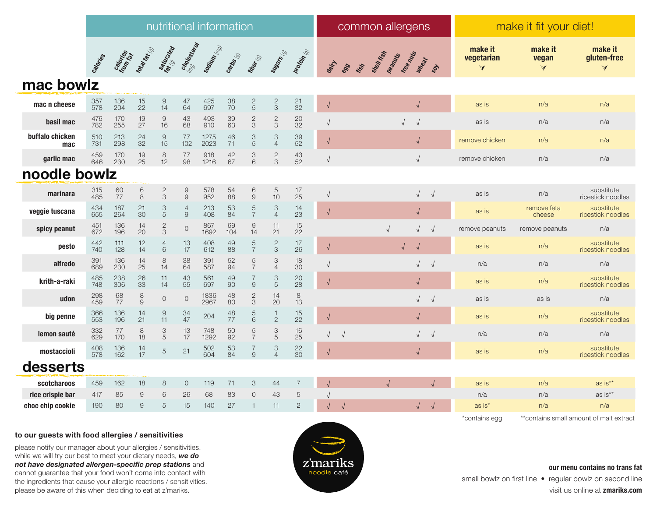|                        | nutritional information |                       |                                       |                                        |                                         |              |                                         |                                       |                                             |                                         | common allergens |             |  |                  |                      |            | make it fit your diet!          |                            |                                                |
|------------------------|-------------------------|-----------------------|---------------------------------------|----------------------------------------|-----------------------------------------|--------------|-----------------------------------------|---------------------------------------|---------------------------------------------|-----------------------------------------|------------------|-------------|--|------------------|----------------------|------------|---------------------------------|----------------------------|------------------------------------------------|
|                        | Caloridos               | Calonics<br>from ries | total take                            | Saturated                              | Cholesteron                             | sooting (mg) | Carbs (6)                               | <b>Tiber</b>                          | Sugars (                                    | protein                                 | dairy            | Fish<br>899 |  | Sheir Keep Miles |                      |            | make it<br>vegetarian<br>$\vee$ | make it<br>vegan<br>$\vee$ | make it<br>gluten-free<br>$\blacktriangleleft$ |
| mac bowlz              |                         |                       |                                       |                                        |                                         |              |                                         |                                       |                                             |                                         |                  |             |  |                  |                      |            |                                 |                            |                                                |
| mac n cheese           | 357<br>578              | 136<br>204            | $\frac{15}{22}$                       | $\begin{array}{c} 9 \\ 14 \end{array}$ | $^{47}_{64}$                            | 425<br>697   | 38<br>70                                | $\frac{2}{5}$                         | $\frac{2}{3}$                               | $\frac{21}{32}$                         | $\sqrt{2}$       |             |  |                  | $\sqrt{\phantom{a}}$ |            | as is                           | n/a                        | n/a                                            |
| basil mac              | 476<br>782              | 170<br>255            | 19<br>27                              | $\overline{9}$<br>16                   | 43<br>68                                | 493<br>910   | 39<br>63                                | $\frac{2}{3}$                         | $\mathbf{2}$<br>3                           | 20<br>32                                | $\sqrt{ }$       |             |  | $\sqrt{2}$       | $\sqrt{2}$           |            | as is                           | n/a                        | n/a                                            |
| buffalo chicken<br>mac | 510<br>731              | 213<br>298            | 24<br>$\overline{3}2$                 | $\frac{9}{15}$                         | 77<br>102                               | 1275<br>2023 | 46<br>71                                | $\frac{3}{5}$                         | 3<br>$\overline{4}$                         | $\begin{array}{c} 39 \\ 52 \end{array}$ | $\sqrt{ }$       |             |  |                  | $\sqrt{}$            |            | remove chicken                  | n/a                        | n/a                                            |
| garlic mac             | 459<br>646              | 170<br>230            | 19<br>25                              | $\begin{array}{c} 8 \\ 12 \end{array}$ | $\begin{array}{c} 77 \\ 98 \end{array}$ | 918<br>1216  | $\frac{42}{67}$                         | 3<br>6                                | $rac{2}{3}$                                 | $^{43}_{52}$                            | $\sqrt{ }$       |             |  |                  | $\sqrt{2}$           |            | remove chicken                  | n/a                        | n/a                                            |
| noodle bowlz           |                         |                       |                                       |                                        |                                         |              |                                         |                                       |                                             |                                         |                  |             |  |                  |                      |            |                                 |                            |                                                |
| marinara               | 315<br>485              | 60<br>77              | $\begin{array}{c} 6 \\ 8 \end{array}$ | $\frac{2}{3}$                          | $\begin{array}{c} 9 \\ 9 \end{array}$   | 578<br>952   | 54<br>88                                | $\begin{array}{c} 6 \\ 9 \end{array}$ | $5\phantom{.0}$<br>10                       | $\frac{17}{25}$                         | $\sqrt{2}$       |             |  |                  | $\sqrt{2}$           |            | as is                           | n/a                        | substitute<br>ricestick noodles                |
| veggie tuscana         | 434<br>655              | 187<br>264            | 21<br>30                              | $\ensuremath{\mathsf{3}}$<br>5         | $\overline{4}$<br>$\,9$                 | 213<br>408   | 53<br>84                                | $\mathbf 5$<br>$\overline{7}$         | $\ensuremath{\mathsf{3}}$<br>$\overline{4}$ | 14<br>23                                | $\sqrt{2}$       |             |  |                  | $\sqrt{}$            |            | as is                           | remove feta<br>cheese      | substitute<br>ricestick noodles                |
| spicy peanut           | 451<br>672              | 136<br>196            | 14<br>20                              | $\sqrt{2}$<br>3                        | $\mathbf 0$                             | 867<br>1692  | 69<br>104                               | $\overline{9}$<br>14                  | 11<br>21                                    | 15<br>22                                |                  |             |  |                  | $\sqrt{2}$           | $\sqrt{ }$ | remove peanuts                  | remove peanuts             | n/a                                            |
| pesto                  | 442<br>740              | 111<br>128            | 12<br>14                              | $\overline{4}$<br>6                    | $\frac{13}{17}$                         | 408<br>612   | $\begin{array}{c} 49 \\ 88 \end{array}$ | $\frac{5}{7}$                         | $\frac{2}{3}$                               | $\frac{17}{26}$                         | $\sqrt{2}$       |             |  | $\sqrt{}$        |                      |            | as is                           | n/a                        | substitute<br>ricestick noodles                |
| alfredo                | 391<br>689              | 136<br>230            | 14<br>25                              | $\,8\,$<br>14                          | 38<br>64                                | 391<br>587   | 52<br>94                                | $\frac{5}{7}$                         | 3<br>$\overline{4}$                         | 18<br>30                                | $\sqrt{2}$       |             |  |                  | $\sqrt{2}$           | $\sqrt{ }$ | n/a                             | n/a                        | n/a                                            |
| krith-a-raki           | 485<br>748              | 238<br>306            | 26<br>33                              | 11<br>14                               | 43<br>55                                | 561<br>697   | 49<br>90                                | $\overline{7}$<br>$\emph{9}$          | $\ensuremath{\mathsf{3}}$<br>$\overline{5}$ | 20<br>28                                | $\sqrt{2}$       |             |  |                  | $\sqrt{}$            |            | as is                           | n/a                        | substitute<br>ricestick noodles                |
| udon                   | 298<br>459              | 68<br>77              | $\frac{8}{9}$                         | $\circ$                                | $\circ$                                 | 1836<br>2967 | 48<br>80                                | $\frac{2}{3}$                         | 14<br>20                                    | $\,8\,$<br>13                           |                  |             |  |                  | $\sqrt{}$            |            | as is                           | as is                      | n/a                                            |
| big penne              | 366<br>553              | 136<br>196            | 14<br>21                              | $\Theta$<br>11                         | $\frac{34}{47}$                         | 204          | 48<br>77                                | $\frac{5}{6}$                         | $\mathbf 1$<br>$\mathbf{2}$                 | $\frac{15}{22}$                         | $\sqrt{2}$       |             |  |                  | $\sqrt{}$            |            | as is                           | n/a                        | substitute<br>ricestick noodles                |
| lemon sauté            | 332<br>629              | 77<br>170             | 8<br>18                               | 3<br>5                                 | 13<br>17                                | 748<br>1292  | 50<br>$\overline{92}$                   | $\frac{5}{7}$                         | 3<br>$\sqrt{5}$                             | 16<br>25                                | $\sqrt{2}$       | $\sqrt{2}$  |  |                  |                      |            | n/a                             | n/a                        | n/a                                            |
| mostaccioli            | 408<br>578              | 136<br>162            | 14<br>17                              | 5                                      | 21                                      | 502<br>604   | 53<br>84                                | $\overline{7}$<br>9                   | $\ensuremath{\mathsf{3}}$<br>$\Delta$       | $\frac{22}{30}$                         | $\sqrt{ }$       |             |  |                  | $\sqrt{}$            |            | as is                           | n/a                        | substitute<br>ricestick noodles                |
| desserts               |                         |                       |                                       |                                        |                                         |              |                                         |                                       |                                             |                                         |                  |             |  |                  |                      |            |                                 |                            |                                                |
| scotcharoos            | 459                     | 162                   | 18                                    | 8                                      | $\circ$                                 | 119          | 71                                      | 3                                     | 44                                          | $\overline{7}$                          |                  |             |  |                  |                      | $\sqrt{ }$ | as is                           | n/a                        | as is**                                        |
| rice crispie bar       | 417                     | 85                    | 9                                     | 6                                      | 26                                      | 68           | 83                                      | $\overline{0}$                        | 43                                          | $\,$ 5 $\,$                             |                  |             |  |                  |                      |            | n/a                             | n/a                        | as is**                                        |
| choc chip cookie       | 190                     | 80                    | 9                                     | 5                                      | 15                                      | 140          | 27                                      | $\overline{1}$                        | 11                                          | $\sqrt{2}$                              |                  | $\sqrt{ }$  |  |                  | $\sqrt{}$            |            | as is*                          | n/a                        | n/a                                            |
|                        |                         |                       |                                       |                                        |                                         |              |                                         |                                       |                                             |                                         |                  |             |  |                  |                      |            | *contains egg                   |                            | **contains small amount of malt extract        |

## **to our guests with food allergies / sensitivities**

please notify our manager about your allergies / sensitivities. while we will try our best to meet your dietary needs, *we do not have designated allergen-specific prep stations* and cannot guarantee that your food won't come into contact with the ingredients that cause your allergic reactions / sensitivities. please be aware of this when deciding to eat at z'mariks.



## **our menu contains no trans fat**

small bowlz on first line • regular bowlz on second line visit us online at **zmariks.com**